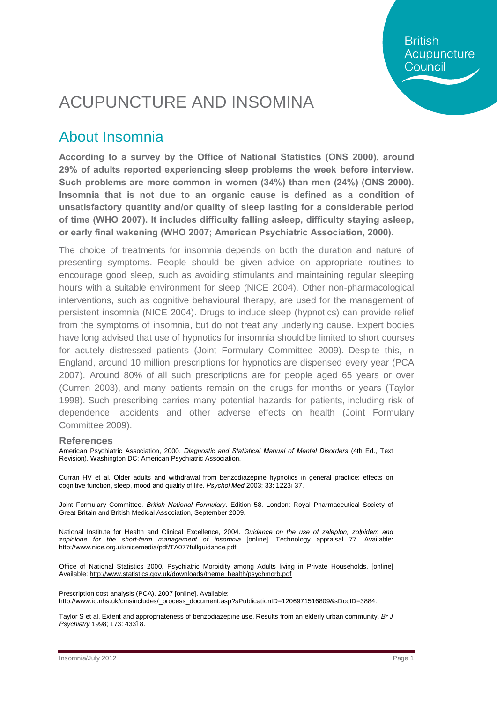**British** Acupuncture Council

# ACUPUNCTURE AND INSOMINA

### About Insomnia

**According to a survey by the Office of National Statistics (ONS 2000), around 29% of adults reported experiencing sleep problems the week before interview. Such problems are more common in women (34%) than men (24%) (ONS 2000). Insomnia that is not due to an organic cause is defined as a condition of unsatisfactory quantity and/or quality of sleep lasting for a considerable period of time (WHO 2007). It includes difficulty falling asleep, difficulty staying asleep, or early final wakening (WHO 2007; American Psychiatric Association, 2000).**

The choice of treatments for insomnia depends on both the duration and nature of presenting symptoms. People should be given advice on appropriate routines to encourage good sleep, such as avoiding stimulants and maintaining regular sleeping hours with a suitable environment for sleep (NICE 2004). Other non-pharmacological interventions, such as cognitive behavioural therapy, are used for the management of persistent insomnia (NICE 2004). Drugs to induce sleep (hypnotics) can provide relief from the symptoms of insomnia, but do not treat any underlying cause. Expert bodies have long advised that use of hypnotics for insomnia should be limited to short courses for acutely distressed patients (Joint Formulary Committee 2009). Despite this, in England, around 10 million prescriptions for hypnotics are dispensed every year (PCA 2007). Around 80% of all such prescriptions are for people aged 65 years or over (Curren 2003), and many patients remain on the drugs for months or years (Taylor 1998). Such prescribing carries many potential hazards for patients, including risk of dependence, accidents and other adverse effects on health (Joint Formulary Committee 2009).

#### **References**

American Psychiatric Association, 2000. *Diagnostic and Statistical Manual of Mental Disorders* (4th Ed., Text Revision). Washington DC: American Psychiatric Association.

Curran HV et al. Older adults and withdrawal from benzodiazepine hypnotics in general practice: effects on cognitive function, sleep, mood and quality of life. *Psychol Med* 2003; 33: 1223–37.

Joint Formulary Committee. *British National Formulary*. Edition 58. London: Royal Pharmaceutical Society of Great Britain and British Medical Association, September 2009.

National Institute for Health and Clinical Excellence, 2004. *Guidance on the use of zaleplon, zolpidem and zopiclone for the short-term management of insomnia* [online]. Technology appraisal 77. Available: http://www.nice.org.uk/nicemedia/pdf/TA077fullguidance.pdf

Office of National Statistics 2000. Psychiatric Morbidity among Adults living in Private Households. [online] Available: [http://www.statistics.gov.uk/downloads/theme\\_health/psychmorb.pdf](http://www.statistics.gov.uk/downloads/theme_health/psychmorb.pdf)

Prescription cost analysis (PCA). 2007 [online]. Available: http://www.ic.nhs.uk/cmsincludes/\_process\_document.asp?sPublicationID=1206971516809&sDocID=3884.

Taylor S et al. Extent and appropriateness of benzodiazepine use. Results from an elderly urban community. *Br J Psychiatry* 1998; 173: 433–8.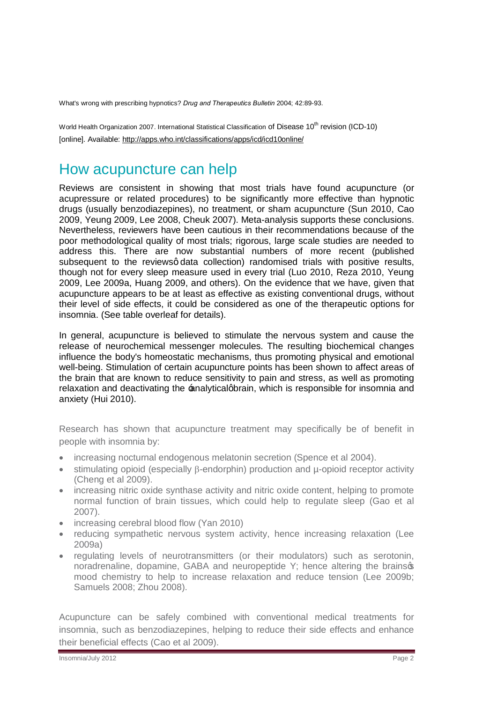What's wrong with prescribing hypnotics? *Drug and Therapeutics Bulletin* 2004; 42:89-93.

World Health Organization 2007. International Statistical Classification of Disease 10<sup>th</sup> revision (ICD-10) [online]. Available: <http://apps.who.int/classifications/apps/icd/icd10online/>

#### How acupuncture can help

Reviews are consistent in showing that most trials have found acupuncture (or acupressure or related procedures) to be significantly more effective than hypnotic drugs (usually benzodiazepines), no treatment, or sham acupuncture (Sun 2010, Cao 2009, Yeung 2009, Lee 2008, Cheuk 2007). Meta-analysis supports these conclusions. Nevertheless, reviewers have been cautious in their recommendations because of the poor methodological quality of most trials; rigorous, large scale studies are needed to address this. There are now substantial numbers of more recent (published subsequent to the reviewsg data collection) randomised trials with positive results, though not for every sleep measure used in every trial (Luo 2010, Reza 2010, Yeung 2009, Lee 2009a, Huang 2009, and others). On the evidence that we have, given that acupuncture appears to be at least as effective as existing conventional drugs, without their level of side effects, it could be considered as one of the therapeutic options for insomnia. (See table overleaf for details).

In general, acupuncture is believed to stimulate the nervous system and cause the release of neurochemical messenger molecules. The resulting biochemical changes influence the body's homeostatic mechanisms, thus promoting physical and emotional well-being. Stimulation of certain acupuncture points has been shown to affect areas of the brain that are known to reduce sensitivity to pain and stress, as well as promoting relaxation and deactivating the  $\pm$ nalyticalgbrain, which is responsible for insomnia and anxiety (Hui 2010).

Research has shown that acupuncture treatment may specifically be of benefit in people with insomnia by:

- · increasing nocturnal endogenous melatonin secretion (Spence et al 2004).
- stimulating opioid (especially B-endorphin) production and u-opioid receptor activity (Cheng et al 2009).
- increasing nitric oxide synthase activity and nitric oxide content, helping to promote normal function of brain tissues, which could help to regulate sleep (Gao et al 2007).
- increasing cerebral blood flow (Yan 2010)
- · reducing sympathetic nervous system activity, hence increasing relaxation (Lee 2009a)
- · regulating levels of neurotransmitters (or their modulators) such as serotonin, noradrenaline, dopamine, GABA and neuropeptide Y; hence altering the brains of mood chemistry to help to increase relaxation and reduce tension (Lee 2009b; Samuels 2008; Zhou 2008).

Acupuncture can be safely combined with conventional medical treatments for insomnia, such as benzodiazepines, helping to reduce their side effects and enhance their beneficial effects (Cao et al 2009).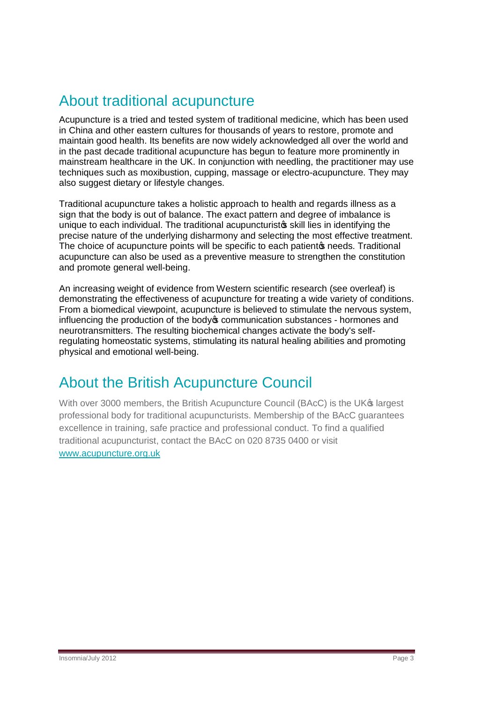## About traditional acupuncture

Acupuncture is a tried and tested system of traditional medicine, which has been used in China and other eastern cultures for thousands of years to restore, promote and maintain good health. Its benefits are now widely acknowledged all over the world and in the past decade traditional acupuncture has begun to feature more prominently in mainstream healthcare in the UK. In conjunction with needling, the practitioner may use techniques such as moxibustion, cupping, massage or electro-acupuncture. They may also suggest dietary or lifestyle changes.

Traditional acupuncture takes a holistic approach to health and regards illness as a sign that the body is out of balance. The exact pattern and degree of imbalance is unique to each individual. The traditional acupuncturistos skill lies in identifying the precise nature of the underlying disharmony and selecting the most effective treatment. The choice of acupuncture points will be specific to each patient oppreds. Traditional acupuncture can also be used as a preventive measure to strengthen the constitution and promote general well-being.

An increasing weight of evidence from Western scientific research (see overleaf) is demonstrating the effectiveness of acupuncture for treating a wide variety of conditions. From a biomedical viewpoint, acupuncture is believed to stimulate the nervous system, influencing the production of the body of communication substances - hormones and neurotransmitters. The resulting biochemical changes activate the body's selfregulating homeostatic systems, stimulating its natural healing abilities and promoting physical and emotional well-being.

### About the British Acupuncture Council

With over 3000 members, the British Acupuncture Council (BAcC) is the UK<sup>®</sup> largest professional body for traditional acupuncturists. Membership of the BAcC guarantees excellence in training, safe practice and professional conduct. To find a qualified traditional acupuncturist, contact the BAcC on 020 8735 0400 or visit [www.acupuncture.org.uk](http://www.acupuncture.org.uk/)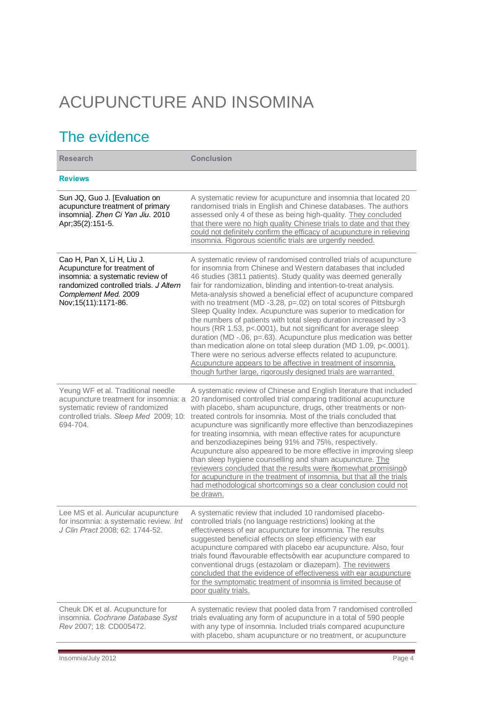# ACUPUNCTURE AND INSOMINA

# The evidence

| <b>Research</b>                                                                                                                                                                           | <b>Conclusion</b>                                                                                                                                                                                                                                                                                                                                                                                                                                                                                                                                                                                                                                                                                                                                                                                                                                                                                                                                                             |
|-------------------------------------------------------------------------------------------------------------------------------------------------------------------------------------------|-------------------------------------------------------------------------------------------------------------------------------------------------------------------------------------------------------------------------------------------------------------------------------------------------------------------------------------------------------------------------------------------------------------------------------------------------------------------------------------------------------------------------------------------------------------------------------------------------------------------------------------------------------------------------------------------------------------------------------------------------------------------------------------------------------------------------------------------------------------------------------------------------------------------------------------------------------------------------------|
| <b>Reviews</b>                                                                                                                                                                            |                                                                                                                                                                                                                                                                                                                                                                                                                                                                                                                                                                                                                                                                                                                                                                                                                                                                                                                                                                               |
| Sun JQ, Guo J. [Evaluation on<br>acupuncture treatment of primary<br>insomnia]. Zhen Ci Yan Jiu. 2010<br>Apr; 35(2): 151-5.                                                               | A systematic review for acupuncture and insomnia that located 20<br>randomised trials in English and Chinese databases. The authors<br>assessed only 4 of these as being high-quality. They concluded<br>that there were no high quality Chinese trials to date and that they<br>could not definitely confirm the efficacy of acupuncture in relieving<br>insomnia. Rigorous scientific trials are urgently needed.                                                                                                                                                                                                                                                                                                                                                                                                                                                                                                                                                           |
| Cao H, Pan X, Li H, Liu J.<br>Acupuncture for treatment of<br>insomnia: a systematic review of<br>randomized controlled trials. J Altern<br>Complement Med. 2009<br>Nov; 15(11): 1171-86. | A systematic review of randomised controlled trials of acupuncture<br>for insomnia from Chinese and Western databases that included<br>46 studies (3811 patients). Study quality was deemed generally<br>fair for randomization, blinding and intention-to-treat analysis.<br>Meta-analysis showed a beneficial effect of acupuncture compared<br>with no treatment (MD -3.28, p=.02) on total scores of Pittsburgh<br>Sleep Quality Index. Acupuncture was superior to medication for<br>the numbers of patients with total sleep duration increased by >3<br>hours (RR 1.53, p<.0001), but not significant for average sleep<br>duration (MD -.06, p=.63). Acupuncture plus medication was better<br>than medication alone on total sleep duration (MD 1.09, p<.0001).<br>There were no serious adverse effects related to acupuncture.<br>Acupuncture appears to be affective in treatment of insomnia,<br>though further large, rigorously designed trials are warranted. |
| Yeung WF et al. Traditional needle<br>acupuncture treatment for insomnia: a<br>systematic review of randomized<br>controlled trials. Sleep Med 2009; 10:<br>694-704.                      | A systematic review of Chinese and English literature that included<br>20 randomised controlled trial comparing traditional acupuncture<br>with placebo, sham acupuncture, drugs, other treatments or non-<br>treated controls for insomnia. Most of the trials concluded that<br>acupuncture was significantly more effective than benzodiazepines<br>for treating insomnia, with mean effective rates for acupuncture<br>and benzodiazepines being 91% and 75%, respectively.<br>Acupuncture also appeared to be more effective in improving sleep<br>than sleep hygiene counselling and sham acupuncture. The<br>reviewers concluded that the results were % omewhat promising+<br>for acupuncture in the treatment of insomnia, but that all the trials<br>had methodological shortcomings so a clear conclusion could not<br>be drawn.                                                                                                                                   |
| Lee MS et al. Auricular acupuncture<br>for insomnia: a systematic review. Int<br>J Clin Pract 2008; 62: 1744-52.                                                                          | A systematic review that included 10 randomised placebo-<br>controlled trials (no language restrictions) looking at the<br>effectiveness of ear acupuncture for insomnia. The results<br>suggested beneficial effects on sleep efficiency with ear<br>acupuncture compared with placebo ear acupuncture. Also, four<br>trials found % avourable effects+with ear acupuncture compared to<br>conventional drugs (estazolam or diazepam). The reviewers<br>concluded that the evidence of effectiveness with ear acupuncture<br>for the symptomatic treatment of insomnia is limited because of<br>poor quality trials.                                                                                                                                                                                                                                                                                                                                                         |
| Cheuk DK et al. Acupuncture for<br>insomnia. Cochrane Database Syst<br>Rev 2007; 18: CD005472.                                                                                            | A systematic review that pooled data from 7 randomised controlled<br>trials evaluating any form of acupuncture in a total of 590 people<br>with any type of insomnia. Included trials compared acupuncture<br>with placebo, sham acupuncture or no treatment, or acupuncture                                                                                                                                                                                                                                                                                                                                                                                                                                                                                                                                                                                                                                                                                                  |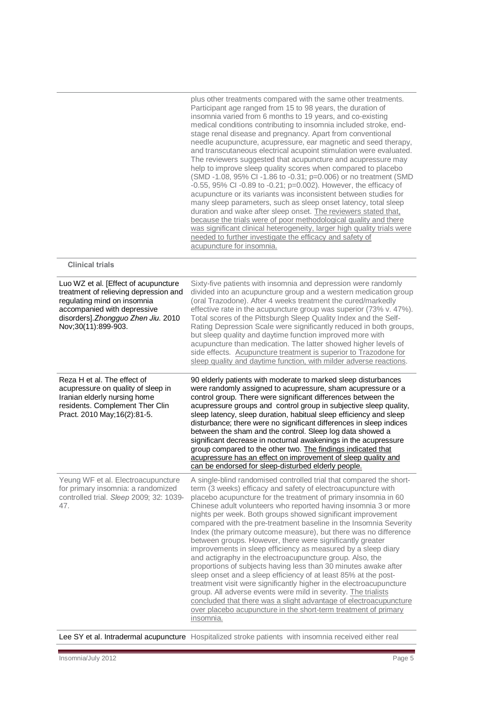|                                                                                                                                                                                                          | plus other treatments compared with the same other treatments.<br>Participant age ranged from 15 to 98 years, the duration of<br>insomnia varied from 6 months to 19 years, and co-existing<br>medical conditions contributing to insomnia included stroke, end-<br>stage renal disease and pregnancy. Apart from conventional<br>needle acupuncture, acupressure, ear magnetic and seed therapy,<br>and transcutaneous electrical acupoint stimulation were evaluated.<br>The reviewers suggested that acupuncture and acupressure may<br>help to improve sleep quality scores when compared to placebo<br>(SMD -1.08, 95% Cl -1.86 to -0.31; p=0.006) or no treatment (SMD<br>-0.55, 95% CI -0.89 to -0.21; p=0.002). However, the efficacy of<br>acupuncture or its variants was inconsistent between studies for<br>many sleep parameters, such as sleep onset latency, total sleep<br>duration and wake after sleep onset. The reviewers stated that,<br>because the trials were of poor methodological quality and there<br>was significant clinical heterogeneity, larger high quality trials were<br>needed to further investigate the efficacy and safety of<br>acupuncture for insomnia. |
|----------------------------------------------------------------------------------------------------------------------------------------------------------------------------------------------------------|----------------------------------------------------------------------------------------------------------------------------------------------------------------------------------------------------------------------------------------------------------------------------------------------------------------------------------------------------------------------------------------------------------------------------------------------------------------------------------------------------------------------------------------------------------------------------------------------------------------------------------------------------------------------------------------------------------------------------------------------------------------------------------------------------------------------------------------------------------------------------------------------------------------------------------------------------------------------------------------------------------------------------------------------------------------------------------------------------------------------------------------------------------------------------------------------------|
| <b>Clinical trials</b>                                                                                                                                                                                   |                                                                                                                                                                                                                                                                                                                                                                                                                                                                                                                                                                                                                                                                                                                                                                                                                                                                                                                                                                                                                                                                                                                                                                                                    |
| Luo WZ et al. [Effect of acupuncture<br>treatment of relieving depression and<br>regulating mind on insomnia<br>accompanied with depressive<br>disorders].Zhongguo Zhen Jiu. 2010<br>Nov;30(11):899-903. | Sixty-five patients with insomnia and depression were randomly<br>divided into an acupuncture group and a western medication group<br>(oral Trazodone). After 4 weeks treatment the cured/markedly<br>effective rate in the acupuncture group was superior (73% v. 47%).<br>Total scores of the Pittsburgh Sleep Quality Index and the Self-<br>Rating Depression Scale were significantly reduced in both groups,<br>but sleep quality and daytime function improved more with<br>acupuncture than medication. The latter showed higher levels of<br>side effects. Acupuncture treatment is superior to Trazodone for<br>sleep quality and daytime function, with milder adverse reactions.                                                                                                                                                                                                                                                                                                                                                                                                                                                                                                       |
| Reza H et al. The effect of<br>acupressure on quality of sleep in<br>Iranian elderly nursing home<br>residents. Complement Ther Clin<br>Pract. 2010 May; 16(2): 81-5.                                    | 90 elderly patients with moderate to marked sleep disturbances<br>were randomly assigned to acupressure, sham acupressure or a<br>control group. There were significant differences between the<br>acupressure groups and control group in subjective sleep quality,<br>sleep latency, sleep duration, habitual sleep efficiency and sleep<br>disturbance; there were no significant differences in sleep indices<br>between the sham and the control. Sleep log data showed a<br>significant decrease in nocturnal awakenings in the acupressure<br>group compared to the other two. The findings indicated that<br>acupressure has an effect on improvement of sleep quality and<br>can be endorsed for sleep-disturbed elderly people.                                                                                                                                                                                                                                                                                                                                                                                                                                                          |
| Yeung WF et al. Electroacupuncture<br>for primary insomnia: a randomized<br>controlled trial. Sleep 2009; 32: 1039-<br>47.                                                                               | A single-blind randomised controlled trial that compared the short-<br>term (3 weeks) efficacy and safety of electroacupuncture with<br>placebo acupuncture for the treatment of primary insomnia in 60<br>Chinese adult volunteers who reported having insomnia 3 or more<br>nights per week. Both groups showed significant improvement<br>compared with the pre-treatment baseline in the Insomnia Severity<br>Index (the primary outcome measure), but there was no difference<br>between groups. However, there were significantly greater<br>improvements in sleep efficiency as measured by a sleep diary<br>and actigraphy in the electroacupuncture group. Also, the<br>proportions of subjects having less than 30 minutes awake after<br>sleep onset and a sleep efficiency of at least 85% at the post-<br>treatment visit were significantly higher in the electroacupuncture<br>group. All adverse events were mild in severity. The trialists<br>concluded that there was a slight advantage of electroacupuncture<br>over placebo acupuncture in the short-term treatment of primary<br>insomnia.                                                                                  |

Lee SY et al. Intradermal acupuncture Hospitalized stroke patients with insomnia received either real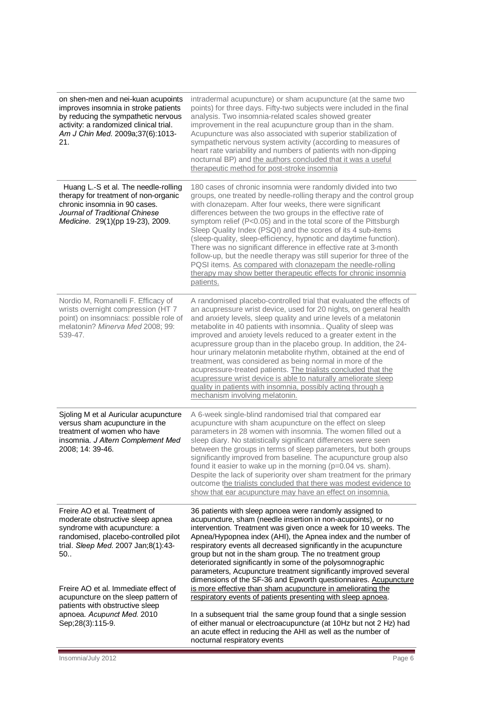| on shen-men and nei-kuan acupoints<br>improves insomnia in stroke patients<br>by reducing the sympathetic nervous<br>activity: a randomized clinical trial.<br>Am J Chin Med. 2009a;37(6):1013-<br>21.                                                                                                                                                        | intradermal acupuncture) or sham acupuncture (at the same two<br>points) for three days. Fifty-two subjects were included in the final<br>analysis. Two insomnia-related scales showed greater<br>improvement in the real acupuncture group than in the sham.<br>Acupuncture was also associated with superior stabilization of<br>sympathetic nervous system activity (according to measures of<br>heart rate variability and numbers of patients with non-dipping<br>nocturnal BP) and the authors concluded that it was a useful<br>therapeutic method for post-stroke insomnia                                                                                                                                                                                                                                                                                                                                                                                       |
|---------------------------------------------------------------------------------------------------------------------------------------------------------------------------------------------------------------------------------------------------------------------------------------------------------------------------------------------------------------|--------------------------------------------------------------------------------------------------------------------------------------------------------------------------------------------------------------------------------------------------------------------------------------------------------------------------------------------------------------------------------------------------------------------------------------------------------------------------------------------------------------------------------------------------------------------------------------------------------------------------------------------------------------------------------------------------------------------------------------------------------------------------------------------------------------------------------------------------------------------------------------------------------------------------------------------------------------------------|
| Huang L.-S et al. The needle-rolling<br>therapy for treatment of non-organic<br>chronic insomnia in 90 cases.<br>Journal of Traditional Chinese<br>Medicine. 29(1)(pp 19-23), 2009.                                                                                                                                                                           | 180 cases of chronic insomnia were randomly divided into two<br>groups, one treated by needle-rolling therapy and the control group<br>with clonazepam. After four weeks, there were significant<br>differences between the two groups in the effective rate of<br>symptom relief (P<0.05) and in the total score of the Pittsburgh<br>Sleep Quality Index (PSQI) and the scores of its 4 sub-items<br>(sleep-quality, sleep-efficiency, hypnotic and daytime function).<br>There was no significant difference in effective rate at 3-month<br>follow-up, but the needle therapy was still superior for three of the<br>PQSI items. As compared with clonazepam the needle-rolling<br>therapy may show better therapeutic effects for chronic insomnia<br>patients.                                                                                                                                                                                                     |
| Nordio M, Romanelli F. Efficacy of<br>wrists overnight compression (HT 7<br>point) on insomniacs: possible role of<br>melatonin? Minerva Med 2008; 99:<br>539-47.                                                                                                                                                                                             | A randomised placebo-controlled trial that evaluated the effects of<br>an acupressure wrist device, used for 20 nights, on general health<br>and anxiety levels, sleep quality and urine levels of a melatonin<br>metabolite in 40 patients with insomnia Quality of sleep was<br>improved and anxiety levels reduced to a greater extent in the<br>acupressure group than in the placebo group. In addition, the 24-<br>hour urinary melatonin metabolite rhythm, obtained at the end of<br>treatment, was considered as being normal in more of the<br>acupressure-treated patients. The trialists concluded that the<br>acupressure wrist device is able to naturally ameliorate sleep<br>quality in patients with insomnia, possibly acting through a<br>mechanism involving melatonin.                                                                                                                                                                              |
| Sjoling M et al Auricular acupuncture<br>versus sham acupuncture in the<br>treatment of women who have<br>insomnia. J Altern Complement Med<br>2008; 14: 39-46.                                                                                                                                                                                               | A 6-week single-blind randomised trial that compared ear<br>acupuncture with sham acupuncture on the effect on sleep<br>parameters in 28 women with insomnia. The women filled out a<br>sleep diary. No statistically significant differences were seen<br>between the groups in terms of sleep parameters, but both groups<br>significantly improved from baseline. The acupuncture group also<br>found it easier to wake up in the morning (p=0.04 vs. sham).<br>Despite the lack of superiority over sham treatment for the primary<br>outcome the trialists concluded that there was modest evidence to<br>show that ear acupuncture may have an effect on insomnia.                                                                                                                                                                                                                                                                                                 |
| Freire AO et al. Treatment of<br>moderate obstructive sleep apnea<br>syndrome with acupuncture: a<br>randomised, placebo-controlled pilot<br>trial. Sleep Med. 2007 Jan;8(1):43-<br>50.<br>Freire AO et al. Immediate effect of<br>acupuncture on the sleep pattern of<br>patients with obstructive sleep<br>apnoea. Acupunct Med. 2010<br>Sep; 28(3): 115-9. | 36 patients with sleep apnoea were randomly assigned to<br>acupuncture, sham (needle insertion in non-acupoints), or no<br>intervention. Treatment was given once a week for 10 weeks. The<br>Apnea/Hypopnea index (AHI), the Apnea index and the number of<br>respiratory events all decreased significantly in the acupuncture<br>group but not in the sham group. The no treatment group<br>deteriorated significantly in some of the polysomnographic<br>parameters, Acupuncture treatment significantly improved several<br>dimensions of the SF-36 and Epworth questionnaires. Acupuncture<br>is more effective than sham acupuncture in ameliorating the<br>respiratory events of patients presenting with sleep apnoea.<br>In a subsequent trial the same group found that a single session<br>of either manual or electroacupuncture (at 10Hz but not 2 Hz) had<br>an acute effect in reducing the AHI as well as the number of<br>nocturnal respiratory events |

E

ī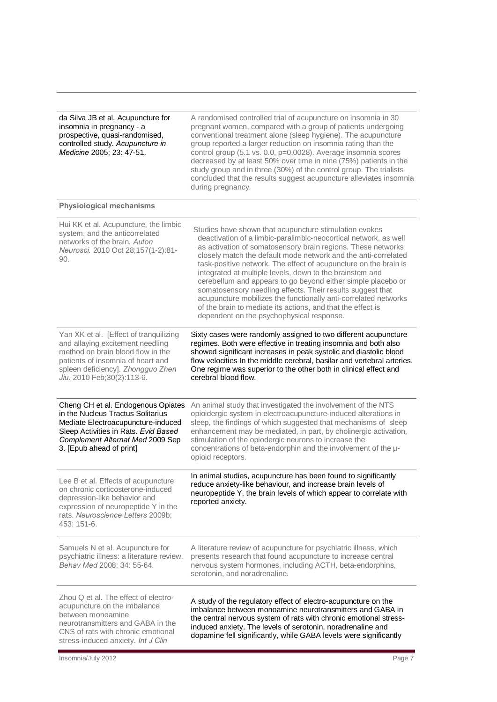| da Silva JB et al. Acupuncture for<br>insomnia in pregnancy - a<br>prospective, quasi-randomised,<br>controlled study. Acupuncture in<br>Medicine 2005; 23: 47-51.                                                        | A randomised controlled trial of acupuncture on insomnia in 30<br>pregnant women, compared with a group of patients undergoing<br>conventional treatment alone (sleep hygiene). The acupuncture<br>group reported a larger reduction on insomnia rating than the<br>control group (5.1 vs. 0.0, p=0.0028). Average insomnia scores<br>decreased by at least 50% over time in nine (75%) patients in the<br>study group and in three (30%) of the control group. The trialists<br>concluded that the results suggest acupuncture alleviates insomnia<br>during pregnancy.                                                                                                                                  |
|---------------------------------------------------------------------------------------------------------------------------------------------------------------------------------------------------------------------------|-----------------------------------------------------------------------------------------------------------------------------------------------------------------------------------------------------------------------------------------------------------------------------------------------------------------------------------------------------------------------------------------------------------------------------------------------------------------------------------------------------------------------------------------------------------------------------------------------------------------------------------------------------------------------------------------------------------|
| <b>Physiological mechanisms</b>                                                                                                                                                                                           |                                                                                                                                                                                                                                                                                                                                                                                                                                                                                                                                                                                                                                                                                                           |
| Hui KK et al. Acupuncture, the limbic<br>system, and the anticorrelated<br>networks of the brain. Auton<br>Neurosci. 2010 Oct 28;157(1-2):81-<br>90.                                                                      | Studies have shown that acupuncture stimulation evokes<br>deactivation of a limbic-paralimbic-neocortical network, as well<br>as activation of somatosensory brain regions. These networks<br>closely match the default mode network and the anti-correlated<br>task-positive network. The effect of acupuncture on the brain is<br>integrated at multiple levels, down to the brainstem and<br>cerebellum and appears to go beyond either simple placebo or<br>somatosensory needling effects. Their results suggest that<br>acupuncture mobilizes the functionally anti-correlated networks<br>of the brain to mediate its actions, and that the effect is<br>dependent on the psychophysical response. |
| Yan XK et al. [Effect of tranquilizing<br>and allaying excitement needling<br>method on brain blood flow in the<br>patients of insomnia of heart and<br>spleen deficiency]. Zhongguo Zhen<br>Jiu. 2010 Feb; 30(2): 113-6. | Sixty cases were randomly assigned to two different acupuncture<br>regimes. Both were effective in treating insomnia and both also<br>showed significant increases in peak systolic and diastolic blood<br>flow velocities In the middle cerebral, basilar and vertebral arteries.<br>One regime was superior to the other both in clinical effect and<br>cerebral blood flow.                                                                                                                                                                                                                                                                                                                            |
| Cheng CH et al. Endogenous Opiates<br>in the Nucleus Tractus Solitarius<br>Mediate Electroacupuncture-induced<br>Sleep Activities in Rats. Evid Based<br>Complement Alternat Med 2009 Sep<br>3. [Epub ahead of print]     | An animal study that investigated the involvement of the NTS<br>opioidergic system in electroacupuncture-induced alterations in<br>sleep, the findings of which suggested that mechanisms of sleep<br>enhancement may be mediated, in part, by cholinergic activation,<br>stimulation of the opiodergic neurons to increase the<br>concentrations of beta-endorphin and the involvement of the u-<br>opioid receptors.                                                                                                                                                                                                                                                                                    |
| Lee B et al. Effects of acupuncture<br>on chronic corticosterone-induced<br>depression-like behavior and<br>expression of neuropeptide Y in the<br>rats. Neuroscience Letters 2009b;<br>453: 151-6.                       | In animal studies, acupuncture has been found to significantly<br>reduce anxiety-like behaviour, and increase brain levels of<br>neuropeptide Y, the brain levels of which appear to correlate with<br>reported anxiety.                                                                                                                                                                                                                                                                                                                                                                                                                                                                                  |
| Samuels N et al. Acupuncture for<br>psychiatric illness: a literature review.<br>Behav Med 2008; 34: 55-64.                                                                                                               | A literature review of acupuncture for psychiatric illness, which<br>presents research that found acupuncture to increase central<br>nervous system hormones, including ACTH, beta-endorphins,<br>serotonin, and noradrenaline.                                                                                                                                                                                                                                                                                                                                                                                                                                                                           |
| Zhou Q et al. The effect of electro-<br>acupuncture on the imbalance<br>between monoamine<br>neurotransmitters and GABA in the<br>CNS of rats with chronic emotional<br>stress-induced anxiety. Int J Clin                | A study of the regulatory effect of electro-acupuncture on the<br>imbalance between monoamine neurotransmitters and GABA in<br>the central nervous system of rats with chronic emotional stress-<br>induced anxiety. The levels of serotonin, noradrenaline and<br>dopamine fell significantly, while GABA levels were significantly                                                                                                                                                                                                                                                                                                                                                                      |

Ε